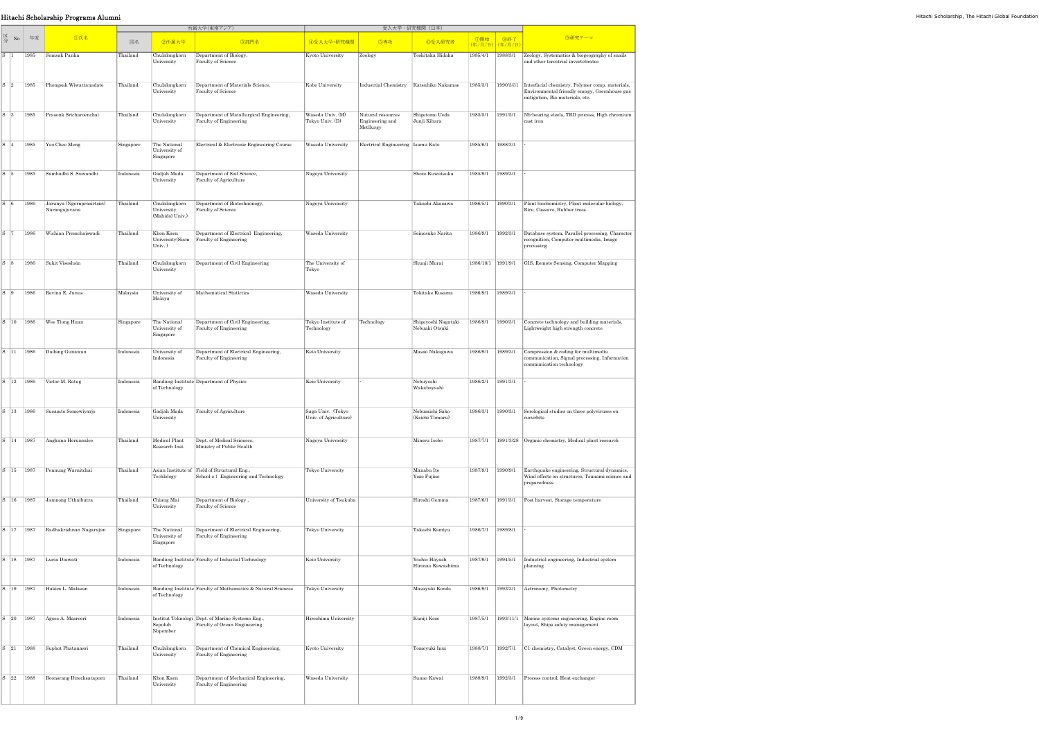|                                                                                                                                                 | Hitachi Scholarship Programs Alumni                                                           |           |                                                |                                                                                      |                                           |                                                   |                                       |                   |                                             |                                                                                                                                                                                                     |
|-------------------------------------------------------------------------------------------------------------------------------------------------|-----------------------------------------------------------------------------------------------|-----------|------------------------------------------------|--------------------------------------------------------------------------------------|-------------------------------------------|---------------------------------------------------|---------------------------------------|-------------------|---------------------------------------------|-----------------------------------------------------------------------------------------------------------------------------------------------------------------------------------------------------|
|                                                                                                                                                 |                                                                                               |           |                                                | 所属大学(東南アジア)                                                                          |                                           |                                                   | 受入大学・研究機関(日本)                         |                   |                                             |                                                                                                                                                                                                     |
| $\begin{array}{c c}\n\hline\n\mathbf{K} & \mathbf{N_0} & \mathbf{4} \\ \hline\n\mathbf{A} & \mathbf{B} \\ \mathbf{A} & \mathbf{B}\n\end{array}$ | <b>1</b> ①氏名                                                                                  | 国名        | 2所属大学                                          | 3部門名                                                                                 | ④受入大学·研究機関                                | 5専攻                                               | 6受入研究者                                |                   | │ ⑦開始 │ ⑧終了<br><mark>(年/月/日)</mark> (年/月/日) | 9研究テーマ                                                                                                                                                                                              |
|                                                                                                                                                 | S  1  1985   Somsak Panha                                                                     | Thailand  | University                                     | Chulalongkorn Department of Biology,<br>Faculty of Science                           | Kyoto University                          | Zoology                                           | Toshitaka Hidaka                      |                   | $1985/4/1$ 1988/3/1                         | Zoology, Systematics & biogeography of snails<br>and other terestrial invertebrates                                                                                                                 |
|                                                                                                                                                 | S 2 1985 Phongsak Wiwattanadate                                                               | Thailand  | Chulalongkorn<br>University                    | Department of Materials Science,<br>Faculty of Science                               | Kobe University                           |                                                   |                                       |                   |                                             | Industrial Chemistry Katsuhiko Nakamae   1985/3/1   1990/3/31   Interfacial chemistry, Polymer comp. materials,<br>Environmental friendly energy, Greenhouse gas<br>mitigation, Bio materials, etc. |
|                                                                                                                                                 | S 3 1985 Prasonk Sricharoenchai                                                               | Thailand  | Chulalongkorn<br>University                    | Department of Matallurgical Engineering,<br>Faculty of Engineering                   | Waseda Univ. (M)<br>Tokyo Univ. (D)       | Nutural resources<br>Engineering and<br>Metllurgy | Shigetomo Ueda<br>Junji Kihara        |                   | 1985/5/1 1991/5/1                           | Nb-bearing steels, TRD process, High chromium<br>cast iron                                                                                                                                          |
|                                                                                                                                                 | $\begin{array}{ c c c c c } \hline S & 4 & 1985 & \text{Yeo Chee Meng} \hline \end{array}$    | Singapore | The National<br>University of<br>Singapore     | Electrical & Electronic Engineering Course                                           | Waseda University                         | Electrical Engineering Isamu Kato                 |                                       | 1985/6/1 1988/3/1 |                                             |                                                                                                                                                                                                     |
|                                                                                                                                                 | S 5 1985 Sambudhi S. Suwandhi                                                                 | Indonesia | Gadjah Mada<br>University                      | Department of Soil Science,<br>Faculty of Agriculture                                | Nagoya University                         |                                                   | Shozo Kuwatsuka                       | 1985/9/1 1989/3/1 |                                             |                                                                                                                                                                                                     |
|                                                                                                                                                 | S 6 1986 Jarunya (Ngernprasirtsiri)<br>Narangajavana                                          | Thailand  | Chulalongkorn<br>University<br>(Mahidol Univ.) | Department of Biotechnonogy,<br>Faculty of Science                                   | Nagoya University                         |                                                   | Takashi Akazawa                       |                   | 1986/5/1 1990/3/1                           | Plant biochemistry, Plant molecular biology,<br>Rice, Cassave, Rubber trees                                                                                                                         |
|                                                                                                                                                 | S 7 1986 Wichian Premchaiswadi                                                                | Thailand  | Khon Kaen<br>$Univ.$ )                         | Department of Electrical Engineering,<br>University(Siam Faculty of Engineering      | Waseda University                         |                                                   | Seinosuke Narita                      | 1986/9/1          | 1992/3/1                                    | Database system, Parallel processing, Character<br>recognition, Computer multimedia, Image<br>processing                                                                                            |
|                                                                                                                                                 | S 8 1986 Sukit Viseshsin                                                                      | Thailand  | Chulalongkorn<br>University                    | Department of Civil Engineering                                                      | The University of<br>Tokyo                |                                                   | Shunji Murai                          |                   |                                             | 1986/10/1   1991/9/1   GIS, Remote Sensing, Computer Mapping                                                                                                                                        |
|                                                                                                                                                 | S 9 1986 Revina E. Junus                                                                      | Malaysia  | University of<br>Malaya                        | Mathematical Statictics                                                              | Waseda University                         |                                                   | Tokitake Kusama                       | 1986/9/1 1989/3/1 |                                             |                                                                                                                                                                                                     |
|                                                                                                                                                 | $\vert$ S $\vert$ 10 $\vert$ 1986 Wee Tiong Huan                                              | Singapore | The National<br>University of<br>Singapore     | Department of Civil Engineering,<br>Faculty of Engineering                           | Tokyo Institute of<br>Technology          | Technology                                        | Shigeyoshi Nagataki<br>Nobuaki Otsuki | 1986/9/1 1990/3/1 |                                             | Concrete technology and building materials,<br>Lightweight high strength concrete                                                                                                                   |
|                                                                                                                                                 | S 11   1986 Dadang Gunawan                                                                    | Indonesia | University of<br>Indonesia                     | Department of Electrical Engineering,<br>Faculty of Engineering                      | Keio University                           |                                                   | Masao Nakagawa                        | 1986/9/1          | 1989/3/1                                    | Compression & coding for multimedia<br>communication, Signal processing, Information<br>communication technology                                                                                    |
|                                                                                                                                                 | $\begin{array}{ c c c c c } \hline S & 12 & 1986 & \text{Victor M. Ratag} \hline \end{array}$ | Indonesia | of Technology                                  | Bandung Institute Department of Physics                                              | Keio University                           |                                                   | Nobuyoshi<br>Wakabayashi              | 1986/2/1 1991/3/1 |                                             |                                                                                                                                                                                                     |
|                                                                                                                                                 | S   13   1986   Susamto Somowiyarjo                                                           | Indonesia | Gadjah Mada<br>University                      | Faculty of Agriculture                                                               | Saga Univ. (Tokyo<br>Univ. of Agriculture |                                                   | Nobumichi Sako<br>(Keichi Tomaru)     | 1986/3/1          | 1990/3/1                                    | Serological studies on three polyviruses on<br>cucurbits                                                                                                                                            |
|                                                                                                                                                 | S 14 1987 Angkana Herunsalee                                                                  | Thailand  | Medical Plant<br>Research Inst.                | Dept. of Medical Sciences,<br>Ministry of Public Health                              | Nagoya University                         |                                                   | Minoru Isobe                          |                   |                                             | 1987/7/1   1991/3/28   Organic chemistry, Medical plant research                                                                                                                                    |
|                                                                                                                                                 | S 15 1987 Pennung Warnitchai                                                                  | Thailand  | Techlology                                     | Asian Institute of Field of Structural Eng.,<br>School of Engineering and Technology | Tokyo University                          |                                                   | Manabu Ito<br>Yozo Fujino             |                   | 1987/9/1 1990/9/1                           | Earthquake engineering, Structural dynamics,<br>Wind effects on structures, Tsunami science and<br>preparedness                                                                                     |
|                                                                                                                                                 | S 16 1987 Jamnong Uthaibutra                                                                  | Thailand  | Chiang Mai<br>University                       | Department of Biology,<br>Faculty of Science                                         | University of Tsukuba                     |                                                   | Hiroshi Gemma                         |                   | 1987/6/1 1991/3/1                           | Post harvest, Storage temperature                                                                                                                                                                   |
|                                                                                                                                                 | S   17   1987   Radhakrishnan Nagarajan                                                       | Singapore | The National<br>University of<br>Singapore     | Department of Electrical Engineering,<br>Faculty of Engineering                      | Tokyo University                          |                                                   | Takeshi Kamiya                        | 1986/7/1 1989/8/1 |                                             |                                                                                                                                                                                                     |
|                                                                                                                                                 | S 18 1987 Lucia Diawati                                                                       | Indonesia | of Technology                                  | Bandung Institute Faculty of Industial Technology                                    | Keio University                           |                                                   | Yoshio Hayash<br>Hironao Kawashima    |                   |                                             | 1987/9/1   1994/5/1   Industrial engineering, Industrial system<br>planning                                                                                                                         |
|                                                                                                                                                 | S 19 1987 Hakim L. Malasan                                                                    | Indonesia | of Technology                                  | Bandung Institute Faculty of Mathematics & Natural Sciences                          | Tokyo University                          |                                                   | Masayuki Kondo                        |                   |                                             | 1986/9/1   1993/3/1   Astronomy, Photometry                                                                                                                                                         |
|                                                                                                                                                 | S 20 1987 Agoes A. Masroeri                                                                   | Indonesia | Sepuluh<br>Nopember                            | Institut Teknologi Dept. of Marine Systems Eng.,<br>Faculty of Ocean Engineering     | Hiroshima University                      |                                                   | Kuniji Kose                           |                   |                                             | 1987/5/1   1993/11/1   Marine systems engineering, Engine room<br>layout, Ships safety management                                                                                                   |
|                                                                                                                                                 | S 21   1988 Suphot Phatanasri                                                                 | Thailand  | Chulalongkorn<br>University                    | Department of Chemical Engineering,<br>Faculty of Engineering                        | Kyoto University                          |                                                   | Tomoyuki Inui                         |                   |                                             | 1988/7/1   1992/7/1   C1-chemistry, Catalyst, Green energy, CDM                                                                                                                                     |
|                                                                                                                                                 | S 22   1988   Boonsrang Direcksataporn                                                        | Thailand  | Khon Kaen<br>University                        | Department of Mechanical Engineering,<br>Faculty of Engineering                      | <b>Waseda University</b>                  |                                                   | Sunao Kawai                           | 1988/9/1          | 1992/3/1                                    | Process control, Heat exchanger                                                                                                                                                                     |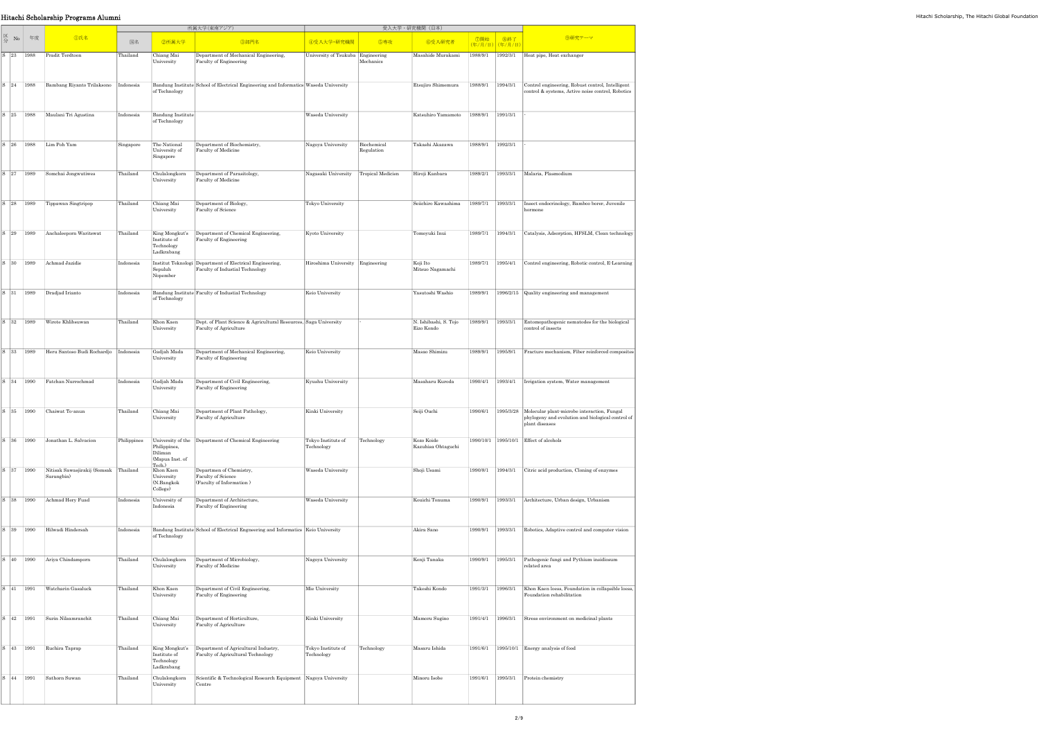S 44 1991 Sathorn Suwan Thailand

|  |                                                                                                                       | Hitachi Scholarship Programs Alumni                                                           |             |                                                             |                                                                                             |                                       |                           |                                      |                   |                   |                                                                                                                              |
|--|-----------------------------------------------------------------------------------------------------------------------|-----------------------------------------------------------------------------------------------|-------------|-------------------------------------------------------------|---------------------------------------------------------------------------------------------|---------------------------------------|---------------------------|--------------------------------------|-------------------|-------------------|------------------------------------------------------------------------------------------------------------------------------|
|  |                                                                                                                       |                                                                                               |             |                                                             | 所属大学(東南アジア)                                                                                 |                                       |                           | 受入大学・研究機関(日本)                        |                   |                   |                                                                                                                              |
|  | $\begin{array}{ c c c }\n\hline\n\Xi & \text{No} & \text{fig} \\ \hline\n\hat{\mathcal{H}} & \text{N0} & \end{array}$ | <b>①氏名</b>                                                                                    | 国名          | 2所属大学                                                       | ③部門名                                                                                        | 4受入大学·研究機関                            | 5専攻                       | 6受入研究者                               |                   |                   | 9研究テーマ                                                                                                                       |
|  |                                                                                                                       | S 23 1988 Pradit Terdtoon                                                                     | Thailand    | Chiang Mai<br>University                                    | Department of Mechanical Engineering,<br>Faculty of Engineering                             | University of Tsukuba Engineering     | Mechanics                 | Masahide Murakami                    |                   |                   | 1988/9/1 1992/3/1 Heat pipe, Heat exchanger                                                                                  |
|  |                                                                                                                       | S 24 1988 Bambang Riyanto Trilaksono Indonesia                                                |             | of Technology                                               | Bandung Institute School of Electrical Engineering and Informatics Waseda University        |                                       |                           | Etsujiro Shimemura                   |                   |                   | 1988/9/1 1994/3/1 Control engineering, Robust control, Intelligent<br>control & systems, Active noise control, Robotics      |
|  |                                                                                                                       | S 25 1988 Maulani Tri Agustina                                                                | Indonesia   | <b>Bandung Institute</b><br>of Technology                   |                                                                                             | <b>Waseda University</b>              |                           | Katsuhiro Yamamoto 1988/9/1 1991/3/1 |                   |                   |                                                                                                                              |
|  |                                                                                                                       | S 26 1988 Lim Poh Yam                                                                         | Singapore   | The National<br>University of<br>Singapore                  | Department of Biochemistry,<br>Faculty of Medicine                                          | Nagoya University                     | Biochemical<br>Regulation | Takashi Akazawa                      | 1988/9/1 1992/3/1 |                   |                                                                                                                              |
|  |                                                                                                                       | S 27 1989 Somchai Jongwutiwes                                                                 | Thailand    | Chulalongkorn<br>University                                 | Department of Parasitology,<br>Faculty of Medicine                                          | Nagasaki University Tropical Medicien |                           | Hiroji Kanbara                       |                   |                   | 1989/2/1 1993/3/1   Malaria, Plasmodium                                                                                      |
|  |                                                                                                                       | $ S $ 28   1989   Tippawan Singtripop                                                         | Thailand    | Chiang Mai<br>University                                    | Department of Biology,<br>Faculty of Science                                                | Tokyo University                      |                           |                                      |                   |                   | Seiichiro Kawashima 1989/7/1 1993/3/1   Insect endocrinology, Bamboo borer, Juvenile<br>hormone                              |
|  |                                                                                                                       | S 29   1989   Anchaleeporn Waritswat                                                          | Thailand    | Institute of<br>Technology<br>Ladkrabang                    | King Mongkut's Department of Chemical Engineering,<br>Faculty of Engineering                | Kyoto University                      |                           | Tomoyuki Inui                        |                   |                   | 1989/7/1   1994/3/1   Catalysis, Adsorption, HFSLM, Clean technology                                                         |
|  |                                                                                                                       | S 30 1989 Achmad Jazidie                                                                      | Indonesia   | Sepuluh<br>Nopember                                         | Institut Teknologi Department of Electrical Engineering,<br>Faculty of Industial Technology | Hiroshima University Engineering      |                           | Koji Ito<br>Mitsuo Nagamachi         |                   |                   | 1989/7/1   1995/4/1   Control engineering, Robotic control, E-Learning                                                       |
|  |                                                                                                                       | $\begin{array}{ c c c c c } \hline S & 31 & 1989 & \text{Dradjad Irianto} \hline \end{array}$ | Indonesia   | of Technology                                               | Bandung Institute Faculty of Industial Technology                                           | Keio University                       |                           | Yasutoshi Washio                     |                   |                   | 1989/9/1 1996/2/15 Quality engineering and management                                                                        |
|  |                                                                                                                       | S 32   1989   Wirote Khlibsuwan                                                               | Thailand    | Khon Kaen<br>University                                     | Dept. of Plant Science & Agricultural Resources, Saga University<br>Faculty of Agriculture  |                                       |                           | N. Ishibashi, S. Tojo<br>Eizo Kondo  |                   |                   | 1989/9/1 1993/3/1 Entomopathogenic nematodes for the biological<br>control of insects                                        |
|  |                                                                                                                       | S 33 1989 Heru Santoso Budi Rochardjo                                                         | Indonesia   | Gadjah Mada<br>University                                   | Department of Mechanical Engineering,<br>Faculty of Engineering                             | Keio University                       |                           | Masao Shimizu                        |                   |                   | 1989/9/1   1995/9/1   Fracture mechanism, Fiber reinforced composites                                                        |
|  |                                                                                                                       | S 34 1990 Fatchan Nurrochmad                                                                  | Indonesia   | Gadjah Mada<br>University                                   | Department of Civil Engineering,<br>Faculty of Engineering                                  | Kyushu University                     |                           | Masaharu Kuroda                      |                   |                   | 1990/4/1 1993/4/1 Trigation system, Water management                                                                         |
|  |                                                                                                                       | S 35 1990 Chaiwat To-anun                                                                     | Thailand    | Chiang Mai<br>University                                    | Department of Plant Pathology,<br>Faculty of Agriculture                                    | Kinki University                      |                           | Seiji Ouchi                          | 1990/6/1          |                   | 1995/3/28 Molecular plant microbe interaction, Fungal<br>phylogeny and evolution and biological control of<br>plant diseases |
|  |                                                                                                                       | S 36 1990 Jonathan L. Salvacion                                                               | Philippines | Philippines,<br>Diliman<br>(Mapua Inst. of                  | University of the Department of Chemical Engineering                                        | Tokyo Institute of<br>Technology      | Technology                | Kozo Koide<br>Kazuhisa Ohtaguchi     |                   |                   | 1990/10/1   1995/10/1   Effect of alcohols                                                                                   |
|  |                                                                                                                       | S 37 1990 Nitisak Sawasjirakij (Somsak Thailand<br>Sarangbin)                                 |             | Tech.)<br>Khon Kaen<br>University<br>(N.Bangkok<br>College) | Departmen of Chemistry,<br>Faculty of Science<br>(Faculty of Information)                   | Waseda University                     |                           | Shoji Usami                          |                   |                   | 1990/8/1   1994/3/1   Citric acid production, Cloning of enzymes                                                             |
|  |                                                                                                                       | S 38 1990 Achmad Hery Fuad                                                                    | Indonesia   | University of<br>Indonesia                                  | Department of Architecture,<br>Faculty of Engineering                                       | Waseda University                     |                           | Kouichi Tonuma                       |                   | 1990/9/1 1993/3/1 | Architecture, Urban design, Urbanism                                                                                         |
|  |                                                                                                                       | S 39   1990 Hilwadi Hindersah                                                                 | Indonesia   | of Technology                                               | Bandung Institute School of Electrical Engneering and Informatics   Keio University         |                                       |                           | Akira Sano                           |                   |                   | 1990/9/1   1993/3/1   Robotics, Adaptive control and computer vision                                                         |
|  |                                                                                                                       | S 40 1990 Ariya Chindamporn                                                                   | Thailand    | Chulalongkorn<br>University                                 | Department of Microbiology,<br>Faculty of Medicine                                          | Nagoya University                     |                           | Kenji Tanaka                         |                   |                   | 1990/9/1   1995/3/1   Pathogenic fungi and Pythium insidiosum<br>related area                                                |
|  |                                                                                                                       | S 41   1991   Watcharin Gasaluck                                                              | Thailand    | Khon Kaen<br>University                                     | Department of Civil Engineering,<br>Faculty of Engineering                                  | Mie University                        |                           | Takeshi Kondo                        | 1991/3/1          | 1996/3/1          | Khon Kaen loess, Foundation in collapsible loess,<br>Foundation rehabilitation                                               |
|  |                                                                                                                       | S 42   1991   Surin Nilsamranchit                                                             | Thailand    | Chiang Mai<br>University                                    | Department of Horticulture,<br>Faculty of Agriculture                                       | Kinki University                      |                           | Mamoru Sugino                        |                   |                   | 1991/4/1   1996/3/1   Stress environment on medicinal plants                                                                 |
|  |                                                                                                                       | S 43 1991 Ruchira Taprap                                                                      | Thailand    |                                                             | King Mongkut's  Department of Agricultural Industry                                         | Tokyo Institute of Technology         |                           | Masaru Ishida                        |                   |                   | 1991/6/1   1995/10/1   Energy analysis of food                                                                               |

Institute of Technology Ladkrabang

Department of Agricultural Industry, Faculty of Agricultural Technology

Tokyo Institute of Technology

University Scientific & Technological Research Equipment Centre

Minoru Isobe 1991/6/1 1995/3/1 Protein chemistry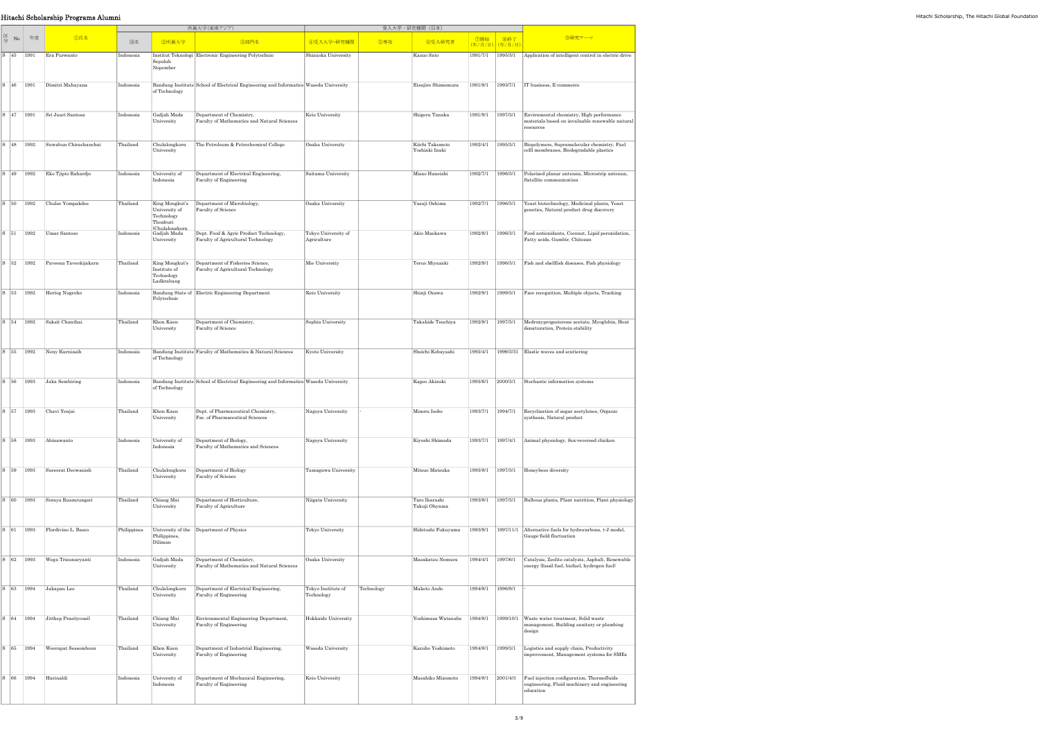S 66 1994 Harinaldi Indonesia

University of Department of Mechanical Engineering,<br>
Indonesia Faculty of Engineering

|                                                                                |      |                       |             |                                                            | 所属大学(東南アジア)                                                                          |                                    |            | 受入大学·研究機関 (日本)                    |                        |           |                                                                                                          |
|--------------------------------------------------------------------------------|------|-----------------------|-------------|------------------------------------------------------------|--------------------------------------------------------------------------------------|------------------------------------|------------|-----------------------------------|------------------------|-----------|----------------------------------------------------------------------------------------------------------|
| $\begin{array}{cc} \boxtimes & \text{No} \\ \bigoplus & \text{No} \end{array}$ | 年度   | <b></b> 10氏名          | 国名          | 2所属大学                                                      | ③部門名                                                                                 | 4受入大学·研究機関                         | 5専攻        | 6受入研究者                            | ⑦開始<br>(年/月/日) (年/月/日) | 8終了       | 9研究テーマ                                                                                                   |
| S 45                                                                           | 1991 | Era Purwanto          | Indonesia   | Sepuluh<br>Nopember                                        | Institut Teknologi Electronic Engineering Polytechnic                                | Shizuoka University                |            | Kazuo Sato                        | 1991/7/1               | 1995/3/1  | Application of intelligent control in electric drive                                                     |
| $S \mid 46$                                                                    | 1991 | Dimitri Mahayana      | Indonesia   | of Technology                                              | Bandung Institute School of Electrical Engineering and Informatics Waseda University |                                    |            | Etsujiro Shimemura                | 1991/9/1               | 1993/7/1  | IT business, E-commerce                                                                                  |
| $S \mid 47$                                                                    | 1991 | Sri Juari Santosa     | Indonesia   | Gadjah Mada<br>University                                  | Department of Chemistry,<br>Faculty of Mathematics and Natural Sciences              | Keio University                    |            | Shigeru Tanaka                    | 1991/9/1               | 1997/3/1  | Envirnmental chemistry, High performance<br>materials based on invaluable renewable natural<br>resources |
| S 48                                                                           | 1992 | Suwabun Chirachanchai | Thailand    | Chulalongkorn<br>University                                | The Petroleum & Petrochemical College                                                | Osaka University                   |            | Kiichi Takemoto<br>Yoshiaki Inaki | 1992/4/1               | 1995/3/1  | Biopolymers, Supramolecular chemistry, Fuel<br>celll membranes, Biodegradable plastics                   |
| S 49                                                                           | 1992 | Eko Tjipto Rahardjo   | Indonesia   | University of<br>Indonesia                                 | Department of Electrical Engineering,<br>Faculty of Engineering                      | Saitama University                 |            | Misao Haneishi                    | 1992/7/1               | 1996/3/1  | Polarized planar antenna, Microstrip antenna,<br>Satellite communication                                 |
| $S \mid 50$                                                                    | 1992 | Chulee Yompakdee      | Thailand    | King Mongkut's<br>University of<br>Technology<br>Thonburi  | Department of Microbiology,<br>Faculty of Science                                    | Osaka University                   |            | Yasuji Oshima                     | 1992/7/1               | 1996/3/1  | Yeast biotechnology, Medicinal plants, Yeast<br>genetics, Natural product drug discovery                 |
| S 51                                                                           | 1992 | Umar Santoso          | Indonesia   | (Chulalongkorn<br>Gadjah Mada<br>University                | Dept. Food & Agric Product Technology,<br>Faculty of Agricultural Technology         | Tokyo University of<br>Agriculture |            | Akio Maekawa                      | 1992/8/1               | 1996/3/1  | Food antioxidants, Coconut, Lipid peroxidation,<br>Fatty acids, Gambir, Chitosan                         |
| $S$ 52                                                                         | 1992 | Paveena Taveekijakarn | Thailand    | King Mongkut's<br>Institute of<br>Technology<br>Ladkrabang | Department of Fisheries Science,<br>Faculty of Agricultural Technology               | Mie University                     |            | Teruo Miyazaki                    | 1992/9/1               | 1996/3/1  | Fish and shellfish diseases, Fish physiology                                                             |
| $S$ 53                                                                         | 1992 | Hertog Nugroho        | Indonesia   | Polytechnic                                                | Bandung State of Electric Engineering Department                                     | Keio University                    |            | Shinji Ozawa                      | 1992/9/1               | 1999/3/1  | Face recognition, Multiple objects, Tracking                                                             |
| $S \mid 54$                                                                    | 1992 | Saksit Chanthai       | Thailand    | Khon Kaen<br>University                                    | Department of Chemistry,<br>Faculty of Science                                       | Sophia University                  |            | Takahide Tsuchiya                 | 1992/9/1               | 1997/3/1  | Medroxyprogesterone acetate, Myoglobin, Heat<br>denaturation, Protein stability                          |
| S 55                                                                           | 1992 | Neny Kurniasih        | Indonesia   | of Technology                                              | Bandung Institute Faculty of Mathematics & Natural Sciences                          | Kyoto University                   |            | Shoichi Kobayashi                 | 1993/4/1               | 1999/3/31 | Elastic waves and scattering                                                                             |
| $S$ 56                                                                         | 1993 | Jaka Sembiring        | Indonesia   | of Technology                                              | Bandung Institute School of Electrical Engineering and Informatics Waseda University |                                    |            | Kageo Akizuki                     | 1993/6/1               | 2000/3/1  | Stochastic information systems                                                                           |
| S 57 1993                                                                      |      | Chavi Yenjai          | Thailand    | Khon Kaen<br>University                                    | Dept. of Pharmaceutical Chemistry,<br>Fac. of Pharmaceutical Sciences                | Nagoya University                  |            | Minoru Isobe                      | 1993/7/1 1994/7/1      |           | Recyclization of sugar acetylenes, Organic<br>systhesis, Natural product                                 |
| $S$ 58                                                                         | 1993 | Abinawanto            | Indonesia   | University of<br>Indonesia                                 | Department of Biology,<br>Faculty of Mathematics and Sciences                        | Nagoya University                  |            | Kiyoshi Shimada                   | 1993/7/1               | 1997/4/1  | Animal physiology, Sex-reversed chicken                                                                  |
| S 59                                                                           | 1993 | Sureerat Deowanish    | Thailand    | Chulalongkorn<br>University                                | Department of Biology<br>Faculty of Science                                          | Tamagawa University                |            | Mitsuo Matsuka                    | 1993/8/1               | 1997/3/1  | Honeybees diversity                                                                                      |
| $S \mid 60$                                                                    | 1993 | Soraya Ruamrungsri    | Thailand    | Chiang Mai<br>University                                   | Department of Horticulture,<br>Faculty of Agriculture                                | Niigata University                 |            | Taro Ikarashi<br>Takuji Ohyama    | 1993/8/1               | 1997/3/1  | Bulbous plants, Plant nutrition, Plant physiology                                                        |
| $S \mid 61$                                                                    | 1993 | Flordivino L. Basco   | Philippines | University of the<br>Philippines,<br>Diliman               | Department of Physics                                                                | Tokyo University                   |            | Hidetoshi Fukuyama                | 1993/9/1               | 1997/11/1 | Alternative fuels for hydrocarbons, t-J model,<br>Gauge-field fluctuation                                |
| $S \mid 62$                                                                    | 1993 | Wega Trisunaryanti    | Indonesia   | Gadjah Mada<br>University                                  | Department of Chemistry,<br>Faculty of Mathematics and Natural Sciences              | Osaka University                   |            | Masakatsu Nomura                  | 1994/4/1               | 1997/6/1  | Catalysis, Zeolite catalysts, Asphalt, Renewable<br>energy (fossil fuel, biofuel, hydrogen fuel)         |
| $S \mid 63$                                                                    | 1994 | Jakapan Lee           | Thailand    | Chulalongkorn<br>University                                | Department of Electrical Engineering,<br>Faculty of Engineering                      | Tokyo Institute of<br>Technology   | Technology | Makoto Ando                       | 1994/8/1               | 1996/9/1  |                                                                                                          |
| $S \mid 64$                                                                    | 1994 | Jitthep Prasityousil  | Thailand    | Chiang Mai<br>University                                   | Environmental Engineering Department,<br>Faculty of Engineering                      | Hokkaido University                |            | Yoshimasa Watanabe                | 1994/8/1               | 1999/10/1 | Waste water treatment, Solid waste<br>management, Building sanitary or plumbing<br>design                |
| S 65                                                                           | 1994 | Weerapat Sessomboon   | Thailand    | Khon Kaen<br>University                                    | Department of Industrial Engineering,<br>Faculty of Engineering                      | Waseda University                  |            | Kazuho Yoshimoto                  | 1994/8/1               | 1999/3/1  | Logistics and supply chain, Productivity<br>improvement, Management systems for SMEs                     |

Keio University Masahiko Mizomoto 1994/8/1 2001/4/3 Fuel injection configuration, Thermofluids<br>
engineering, Fluid machinery and engineering<br>
education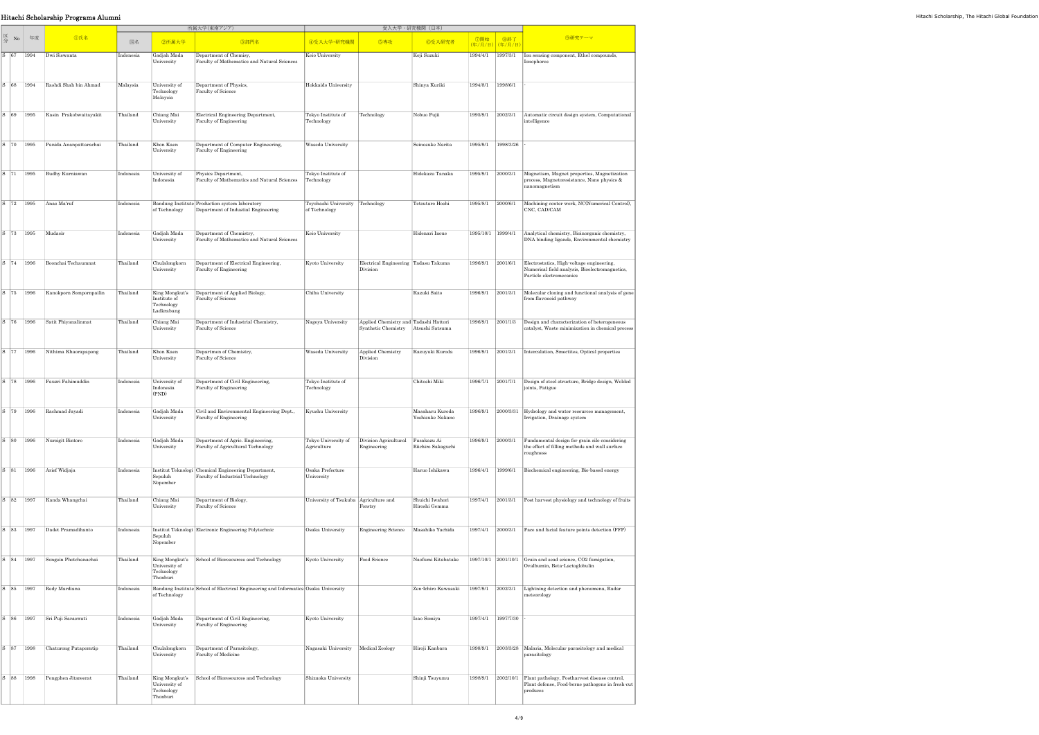|              |    |      |                         |           |                                                           | 所属大学(東南アジア)                                                                         |                                         |                                       | 受入大学・研究機関(日本)       |                     |                        |                                                                                                               |
|--------------|----|------|-------------------------|-----------|-----------------------------------------------------------|-------------------------------------------------------------------------------------|-----------------------------------------|---------------------------------------|---------------------|---------------------|------------------------|---------------------------------------------------------------------------------------------------------------|
| 区分           | No | 年度   | <b></b> ①氏名             | 国名        | 2所属大学                                                     | 3部門名                                                                                | ④受入大学·研究機関                              | 5専攻                                   | 6受入研究者              | ⑦開始                 | 8終了<br>(年/月/日) (年/月/日) | 9研究テーマ                                                                                                        |
| $S$ 67       |    | 1994 | Dwi Siswanta            | Indonesia | Gadjah Mada                                               | Department of Chemisy,                                                              | Keio University                         |                                       | Koji Suzuki         | 1994/4/1            | 1997/3/1               | Ion sensing component, Ethel compounds,                                                                       |
|              |    |      |                         |           | University                                                | Faculty of Mathematics and Natural Sciences                                         |                                         |                                       |                     |                     |                        | Ionophores                                                                                                    |
| $ S $ 68     |    | 1994 | Rashdi Shah bin Ahmad   | Malaysia  | University of                                             | Department of Physics,                                                              | Hokkaido University                     |                                       | Shinya Kuriki       | 1994/8/1            | 1998/6/1               |                                                                                                               |
|              |    |      |                         |           | Technology<br>Malaysia                                    | Faculty of Science                                                                  |                                         |                                       |                     |                     |                        |                                                                                                               |
| $S$ 69       |    | 1995 | Kasin Prakobwaitayakit  | Thailand  | Chiang Mai                                                | Electrical Engineering Department,                                                  | Tokyo Institute of                      | Technology                            | Nobuo Fujii         | 1995/9/1            | 2002/3/1               | Automatic circuit design system, Computational                                                                |
|              |    |      |                         |           | University                                                | Faculty of Engineering                                                              | Technology                              |                                       |                     |                     |                        | intelligence                                                                                                  |
| S 70         |    | 1995 | Panida Ananpattarachai  | Thailand  | Khon Kaen                                                 | Department of Computer Engineering,                                                 | Waseda University                       |                                       | Seinosuke Narita    | 1995/9/1            | 1998/3/26              |                                                                                                               |
|              |    |      |                         |           | University                                                | Faculty of Engineering                                                              |                                         |                                       |                     |                     |                        |                                                                                                               |
| $S \mid 71$  |    | 1995 | Budhy Kurniawan         | Indonesia | University of                                             | Physics Department,                                                                 | Tokyo Institute of                      |                                       | Hidekazu Tanaka     | 1995/9/1            | 2000/3/1               | Magnetism, Magnet properties, Magnetization                                                                   |
|              |    |      |                         |           | Indonesia                                                 | Faculty of Mathematics and Natural Sciences                                         | Technology                              |                                       |                     |                     |                        | process, Magnetoresistance, Nano physics &<br>nanomagnetism                                                   |
| $S$  72      |    | 1995 | Anas Ma'ruf             | Indonesia |                                                           | Bandung Institute Production system laboratory                                      | Toyohashi University Technology         |                                       | Tetsutaro Hoshi     | 1995/8/1            | 2000/6/1               | Machining center work, NC(Numerical Control),                                                                 |
|              |    |      |                         |           | of Technology                                             | Department of Industial Engineering                                                 | of Technology                           |                                       |                     |                     |                        | CNC, CAD/CAM                                                                                                  |
| S 73         |    | 1995 | Mudasir                 | Indonesia | Gadjah Mada                                               | Department of Chemistry,                                                            | Keio University                         |                                       | Hidenari Inoue      | 1995/10/1           | 1999/4/1               | Analytical chemistry, Bioinorganic chemistry,                                                                 |
|              |    |      |                         |           | University                                                | Faculty of Mathematics and Natural Sciences                                         |                                         |                                       |                     |                     |                        | DNA binding ligands, Environmental chemistry                                                                  |
| S 74         |    | 1996 | Boonchai Techaumnat     | Thailand  | Chulalongkorn                                             | Department of Electrical Engineering,                                               | Kyoto University                        | Electrical Engineering Tadasu Takuma  |                     | 1996/9/1            | 2001/6/1               | Electrostatics, High-voltage engineering,                                                                     |
|              |    |      |                         |           | University                                                | Faculty of Engineering                                                              |                                         | Division                              |                     |                     |                        | Numerical field analysis, Bioelectromagnetics,<br>Particle electromecanics                                    |
| $S$ 75       |    | 1996 | Kanokporn Sompornpailin | Thailand  | King Mongkut's                                            | Department of Applied Biology,                                                      | Chiba University                        |                                       | Kazuki Saito        | 1996/9/1            | 2001/3/1               | Molecular cloning and functional analysis of gene                                                             |
|              |    |      |                         |           | Institute of<br>Technology<br>Ladkrabang                  | Faculty of Science                                                                  |                                         |                                       |                     |                     |                        | from flavonoid pathway                                                                                        |
| S 76         |    | 1996 | Satit Phiyanalinmat     | Thailand  | Chiang Mai                                                | Department of Industrial Chemistry,                                                 | Nagoya University                       | Applied Chemistry and Tadashi Hattori |                     | 1996/9/1            | 2001/1/3               | Design and characterization of heterogeneous                                                                  |
|              |    |      |                         |           | University                                                | Faculty of Science                                                                  |                                         | Synthetic Chemistry                   | Atsushi Satsuma     |                     |                        | catalyst, Waste minimization in chemical process                                                              |
| $S$  77      |    | 1996 | Nithima Khaorapapong    | Thailand  | Khon Kaen                                                 | Departmen of Chemistry,                                                             | Waseda University                       | Applied Chemistry                     | Kazuyuki Kuroda     | 1996/9/1            | 2001/3/1               | Intercalation, Smectites, Optical properties                                                                  |
|              |    |      |                         |           | University                                                | Faculty of Science                                                                  |                                         | Division                              |                     |                     |                        |                                                                                                               |
|              |    |      |                         |           |                                                           |                                                                                     |                                         |                                       |                     |                     |                        |                                                                                                               |
| S 78         |    | 1996 | Fauzri Fahimuddin       | Indonesia | University of<br>Indonesia                                | Department of Civil Engineering,<br>Faculty of Engineering                          | Tokyo Institute of<br>Technology        |                                       | Chitoshi Miki       | 1996/7/1            | 2001/7/1               | Design of steel structure, Bridge design, Welded<br>joints, Fatigue                                           |
|              |    |      |                         |           | (PND)                                                     |                                                                                     |                                         |                                       |                     |                     |                        |                                                                                                               |
| $S$ 79       |    | 1996 | Rachmad Jayadi          | Indonesia | Gadjah Mada                                               | Civil and Environmental Engineering Dept.,                                          | Kyushu University                       |                                       | Masaharu Kuroda     | 1996/9/1            | 2000/3/31              | Hydrology and water resources management,                                                                     |
|              |    |      |                         |           | University                                                | Faculty of Engineering                                                              |                                         |                                       | Yoshisuke Nakano    |                     |                        | Irrigation, Drainage system                                                                                   |
| $S \mid 80$  |    | 1996 | Nursigit Bintoro        | Indonesia | Gadjah Mada                                               | Department of Agric. Engineering,                                                   | Tokyo University of                     | Division Agricultural                 | Fusakazu Ai         | 1996/9/1            | 2000/3/1               | Fundamental design for grain silo considering                                                                 |
|              |    |      |                         |           | University                                                | Faculty of Agricultural Technology                                                  | Agriculture                             | Engineering                           | Eiichiro Sakaguchi  |                     |                        | the effect of filling methods and wall surface<br>roughness                                                   |
| $S$ 81       |    | 1996 | Arief Widjaja           | Indonesia |                                                           | Institut Teknologi   Chemical Engineering Department,                               | Osaka Prefecture                        |                                       | Haruo Ishikawa      | 1996/4/1            | 1999/6/1               | Biochemical engineering, Bio-based energy                                                                     |
|              |    |      |                         |           | Sepuluh<br>Nopember                                       | Faculty of Industrial Technology                                                    | University                              |                                       |                     |                     |                        |                                                                                                               |
| $S \quad 82$ |    | 1997 | Kanda Whangchai         | Thailand  | Chiang Mai                                                | Department of Biology,                                                              | University of Tsukuba   Agriculture and |                                       | Shuichi Iwahori     | 1997/4/1            | 2001/3/1               | Post harvest physiology and technology of fruits                                                              |
|              |    |      |                         |           | University                                                | Faculty of Science                                                                  |                                         | Forstry                               | Hiroshi Gemma       |                     |                        |                                                                                                               |
| $S$ 83       |    | 1997 | Dadet Pramadihanto      | Indonesia |                                                           | Institut Teknologi Electronic Engineering Polytechnic                               | Osaka University                        | <b>Engineering Science</b>            | Masahiko Yachida    | 1997/4/1            | 2000/3/1               | Face and facial feature points detection (FFP)                                                                |
|              |    |      |                         |           | Sepuluh<br>Nopember                                       |                                                                                     |                                         |                                       |                     |                     |                        |                                                                                                               |
| $S$ 84       |    | 1997 | Songsin Photchanachai   | Thailand  | King Mongkut's                                            | School of Bioresources and Technology                                               | Kyoto University                        | Food Science                          | Naofumi Kitabatake  | 1997/10/1 2001/10/1 |                        | Grain and sead science, CO2 fumigation,                                                                       |
|              |    |      |                         |           | University of<br>Technology                               |                                                                                     |                                         |                                       |                     |                     |                        | Ovalbumin, Beta-Lactoglobulin                                                                                 |
|              |    |      |                         |           | Thonburi                                                  |                                                                                     |                                         |                                       |                     |                     |                        |                                                                                                               |
| S 85         |    | 1997 | Redy Mardiana           | Indonesia | of Technology                                             | Bandung Institute School of Electrical Engineering and Informatics Osaka University |                                         |                                       | Zen-Ichiro Kawasaki | 1997/9/1            | 2002/3/1               | Lightning detection and phenomena, Radar<br>meteorology                                                       |
|              |    |      |                         |           |                                                           |                                                                                     |                                         |                                       |                     |                     |                        |                                                                                                               |
| $S$ 86       |    | 1997 | Sri Puji Saraswati      | Indonesia | Gadjah Mada<br>University                                 | Department of Civil Engineering,<br>Faculty of Engineering                          | Kyoto University                        |                                       | Isao Somiya         | 1997/4/1            | 1997/7/30              |                                                                                                               |
|              |    |      |                         |           |                                                           |                                                                                     |                                         |                                       |                     |                     |                        |                                                                                                               |
| S 87         |    | 1998 | Chaturong Putaporntip   | Thailand  | Chulalongkorn<br>University                               | Department of Parasitology,<br>Faculty of Medicine                                  | Nagasaki University                     | Medical Zoology                       | Hiroji Kanbara      | 1998/9/1            | 2003/3/28              | Malaria, Molecular parasitology and medical<br>parasitology                                                   |
|              |    |      |                         |           |                                                           |                                                                                     |                                         |                                       |                     |                     |                        |                                                                                                               |
| S 88         |    | 1998 | Pongphen Jitareerat     | Thailand  | King Mongkut's<br>University of<br>Technology<br>Thonburi | School of Bioresources and Technology                                               | Shizuoka University                     |                                       | Shinji Tsuyumu      | 1998/9/1            | 2002/10/1              | Plant pathology, Postharvest disease control,<br>Plant defense, Food-borne pathogens in fresh-cut<br>produces |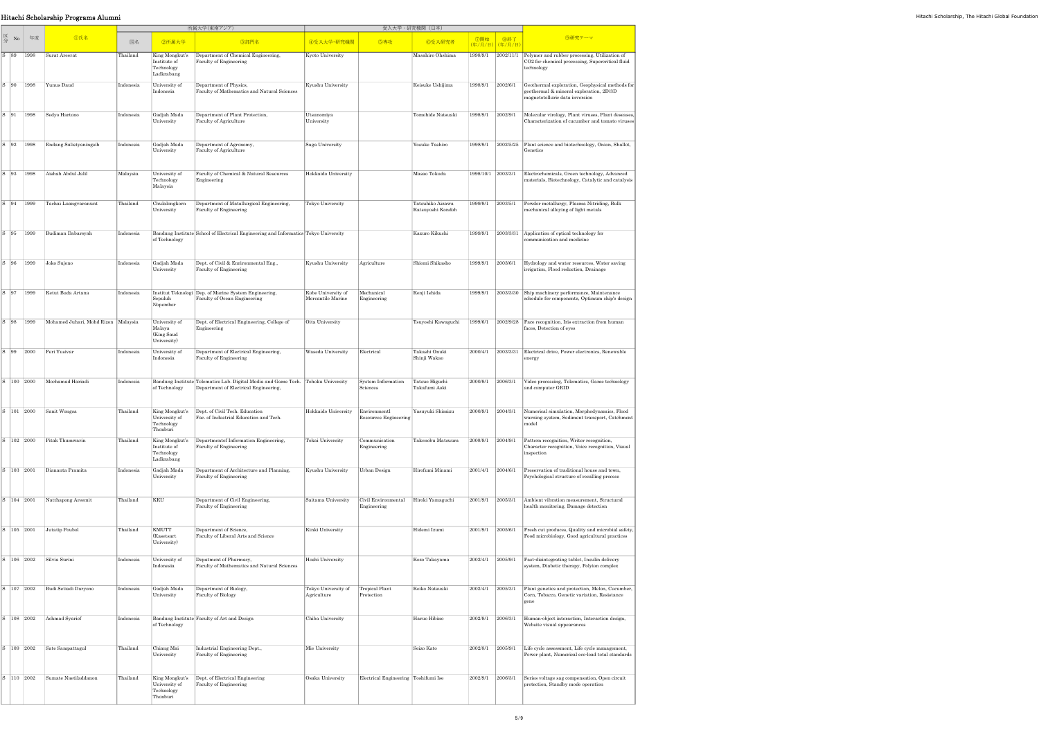|                                                                                               | Hitachi Scholarship Programs Alumni                                                        |           |                                                            |                                                                                                                           |                                                   |                                                     |                                       |                          |                                            |                                                                                                                                    |
|-----------------------------------------------------------------------------------------------|--------------------------------------------------------------------------------------------|-----------|------------------------------------------------------------|---------------------------------------------------------------------------------------------------------------------------|---------------------------------------------------|-----------------------------------------------------|---------------------------------------|--------------------------|--------------------------------------------|------------------------------------------------------------------------------------------------------------------------------------|
|                                                                                               |                                                                                            |           |                                                            | 所属大学(東南アジア)                                                                                                               |                                                   |                                                     | 受入大学・研究機関(日本)                         |                          |                                            |                                                                                                                                    |
| $\begin{array}{c c}\n\hline\n\mathbb{K} & \mathbb{N}_0 \\ \hline\n\mathbb{H}\n\end{array}$ ## | <b></b> ①氏名                                                                                | 国名        | 2所属大学                                                      | 3部門名                                                                                                                      | 4受入大学·研究機関                                        | 5専攻                                                 | 6受入研究者                                |                          | │ ⑦開始 │ ⑧終了<br><mark>(年/月/日)(年/月/日)</mark> | 9研究テーマ                                                                                                                             |
|                                                                                               | S 89   1998   Surat Areerat                                                                | Thailand  | Institute of<br>Technology<br>Ladkrabang                   | King Mongkut's Department of Chemical Engineering,<br>Faculty of Engineering                                              | Kyoto University                                  |                                                     | Masahiro Ohshima                      |                          |                                            | 1998/9/1 2002/11/1 Polymer and rubber processing, Utilization of<br>CO2 for chemical processing, Supercritical fluid<br>technology |
|                                                                                               | S 90   1998   Yunus Daud                                                                   | Indonesia | University of<br>Indonesia                                 | Department of Physics,<br>Faculty of Mathematics and Natural Sciences                                                     | Kyushu University                                 |                                                     | Keisuke Ushijima                      |                          | 1998/9/1 2002/6/1                          | Geothermal exploration, Geophysical methods for<br>geothermal & mineral exploration, 2D/3D<br>magnetotelluric data inversion       |
|                                                                                               | S 91 1998 Sedyo Hartono                                                                    | Indonesia | Gadjah Mada<br>University                                  | Department of Plant Protection,<br>Faculty of Agriculture                                                                 | Utsunomiya<br>University                          |                                                     | Tomohide Natsuaki                     |                          | 1998/9/1 2002/9/1                          | Molecular virology, Plant viruses, Plant deseases,<br>Characterization of cucumber and tomato viruses                              |
|                                                                                               | S 92   1998   Endang Sulistyaningsih                                                       | Indonesia | Gadjah Mada<br>University                                  | Department of Agronomy,<br>Faculty of Agriculture                                                                         | Saga University                                   |                                                     | Yosuke Tashiro                        |                          |                                            | 1998/9/1 2002/5/25 Plant science and biotechnology, Onion, Shallot,<br>Genetics                                                    |
|                                                                                               | S 93 1998 Aishah Abdul Jalil                                                               | Malaysia  | University of<br>Technology<br>Malaysia                    | Faculty of Chemical & Natural Resources<br>Engineering                                                                    | Hokkaido University                               |                                                     | Masao Tokuda                          |                          | 1998/10/1 2003/3/1                         | Electrochemicals, Green technology, Advanced<br>materials, Biotechnology, Catalytic and catalysis                                  |
|                                                                                               | S 94   1999   Tachai Luangvaranunt                                                         | Thailand  | Chulalongkorn<br>University                                | Department of Matallurgical Engineering,<br>Faculty of Engineering                                                        | Tokyo University                                  |                                                     | Tatsuhiko Aizawa<br>Katsuyoshi Kondoh |                          | 1999/9/1 2003/5/1                          | Powder metallurgy, Plasma Nitriding, Bulk<br>mechanical alloying of light metals                                                   |
|                                                                                               | S 95 1999 Budiman Dabarsyah                                                                | Indonesia | of Technology                                              | Bandung Institute School of Electrical Engineering and Informatics Tokyo University                                       |                                                   |                                                     | Kazuro Kikuchi                        | 1999/9/1                 |                                            | $2003/3/31$ Application of optical technology for<br>communication and medicine                                                    |
| $\begin{array}{ c c c c c } \hline S & 96 & 1999 & Joko Sujono \end{array}$                   |                                                                                            | Indonesia | Gadjah Mada<br>University                                  | Dept. of Civil & Enrironmental Eng.,<br>Faculty of Engineering                                                            | Kyushu University                                 | Agriculture                                         | Shiomi Shikasho                       |                          | 1999/9/1 2003/6/1                          | Hydrology and water resources, Water saving<br>irrigation, Flood reduction, Drainage                                               |
|                                                                                               | S 97   1999   Ketut Buda Artana                                                            | Indonesia | Sepuluh<br>Nopember                                        | Institut Teknologi Dep. of Marine System Engineering,<br>Faculty of Ocean Engineering                                     | Kobe University of<br>Mercantile Marine           | Mechanical<br>Engineering                           | Kenji Ishida                          | 1999/9/1                 |                                            | 2003/3/30 Ship machinery performance, Maintenance<br>schedule for components, Optimum ship's design                                |
| S 98 1999                                                                                     | Mohamed Juhari, Mohd Rizon Malaysia                                                        |           | University of<br>Malaya<br>(King Saud<br>University)       | Dept. of Electrical Engineering, College of<br>Engineering                                                                | Oita University                                   |                                                     | Tsuyoshi Kawaguchi                    |                          |                                            | 1999/6/1 2002/9/28   Face recognition, Iris extraction from human<br>faces, Detection of eyes                                      |
|                                                                                               | $\begin{array}{ c c c c c } \hline S & 99 & 2000 & \text{Feri Yusivar} \hline \end{array}$ | Indonesia | University of<br>Indonesia                                 | Department of Electrical Engineering,<br>Faculty of Engineering                                                           | Waseda University                                 | Electrical                                          | Takashi Onuki<br>Shinji Wakao         |                          |                                            | 2000/4/1 2003/3/31 Electrical drive, Power electronics, Renewable<br>energy                                                        |
|                                                                                               | S   100   2000   Mochamad Hariadi                                                          | Indonesia | of Technology                                              | Bandung Institute Telematics Lab. Digital Media and Game Tech. Tohoku University<br>Department of Electrical Engineering, |                                                   | System Information<br>Sciences                      | Tatsuo Higuchi<br>Takafumi Aoki       |                          | $ 2000/9/1 $ $ 2006/3/1$                   | Video processing, Telematics, Game technology<br>and computer GRID                                                                 |
|                                                                                               | 101 2000 Sanit Wongsa                                                                      | Thailand  | University of<br>Technology<br>Thonburi                    | King Mongkut's Dept. of Civil Tech. Education<br>Fac. of Industrial Education and Tech.                                   | Hokkaido University Environmentl                  | Resources Engineering                               | Yasuyuki Shimizu                      | $ 2000/9/1 $ $ 2004/3/1$ |                                            | Numerical simulation, Morphodynamics, Flood<br>warning system, Sediment transport, Catchment<br>model                              |
|                                                                                               | $S$   102   2000   Pitak Thumwarin                                                         | Thailand  | King Mongkut's<br>Institute of<br>Technology<br>Ladkrabang | Department<br>of Information Engineering,<br>Faculty of Engineering                                                       | Tokai University                                  | Communication<br>Engineering                        | Takenobu Matsuura                     | 2000/9/1 2004/9/1        |                                            | Pattern recognition, Writer recognition,<br>Character recognition, Voice recognition, Visual<br>inspection                         |
|                                                                                               | 3   103   2001   Diananta Pramita                                                          | Indonesia | Gadjah Mada<br>University                                  | Department of Architecture and Planning,<br>Faculty of Engineering                                                        | Kyushu University                                 | Urban Design                                        | Hirofumi Minami                       | $ 2001/4/1 $ $ 2004/6/1$ |                                            | Preservation of traditional house and town,<br>Psychological structure of recalling process                                        |
| 3 104 2001                                                                                    | Natthapong Areemit                                                                         | Thailand  | KKU                                                        | Department of Civil Engineering,<br>Faculty of Engineering                                                                | Saitama University                                | Civil Environmental Hiroki Yamaguchi<br>Engineering |                                       | $ 2001/9/1 $ $ 2005/3/1$ |                                            | Ambient vibration measurement. Structural<br>health monitoring, Damage detection                                                   |
|                                                                                               | S   105   2001   Jutatip Poubol                                                            | Thailand  | KMUTT<br>(Kasetsart<br>University)                         | Department of Science,<br>Faculty of Liberal Arts and Science                                                             | Kinki University                                  |                                                     | Hidemi Izumi                          |                          | 2001/9/1 2005/6/1                          | Fresh cut produces, Quality and microbial safety,<br>Food microbiology, Good agricultural practices                                |
|                                                                                               | S   106   2002   Silvia Surini                                                             | Indonesia | University of<br>Indonesia                                 | Depatment of Pharmacy,<br>Faculty of Mathematics and Natural Sciences                                                     | Hoshi University                                  |                                                     | Kozo Takayama                         | $ 2002/4/1 $ $ 2005/9/1$ |                                            | Fast-disintegrating tablet, Insulin delivery<br>system, Diabetic therapy, Polyion complex                                          |
| S 107 2002                                                                                    | Budi Setiadi Daryono                                                                       | Indonesia | Gadjah Mada<br>University                                  | Department of Biology,<br>Faculty of Biology                                                                              | Tokyo University of Tropical Plant<br>Agriculture | Protection                                          | Keiko Natsuaki                        | $ 2002/4/1 $ $ 2005/3/1$ |                                            | Plant genetics and protection, Melon, Cucumber,<br>Corn, Tobacco, Genetic variation, Resistance<br>gene                            |
|                                                                                               | S   108   2002   Achmad Syarief                                                            | Indonesia | of Technology                                              | Bandung Institute Faculty of Art and Design                                                                               | Chiba University                                  |                                                     | Haruo Hibino                          | 2002/9/1                 | 2006/3/1                                   | Human-object interaction, Interaction design,<br>Website visual appearances                                                        |
|                                                                                               | S   109   2002   Sate Sampattagul                                                          | Thailand  | Chiang Mai<br>University                                   | Industrial Engineering Dept.,<br>Faculty of Engineering                                                                   | Mie University                                    |                                                     | Seizo Kato                            |                          | 2002/8/1 2005/9/1                          | Life cycle assessment, Life cycle management,<br>Power plant, Numerical eco-load total standards                                   |
|                                                                                               | 110 2002 Sumate Naetiladdanon                                                              | Thailand  | University of<br>Technology<br>Thonburi                    | King Mongkut's   Dept. of Electrical Engineering<br>Faculty of Engineering                                                | Osaka University                                  | Electrical Engineering Toshifumi Ise                |                                       | 2002/9/1                 | 2006/3/1                                   | Series voltage sag compensation, Open circuit<br>protection, Standby mode operation                                                |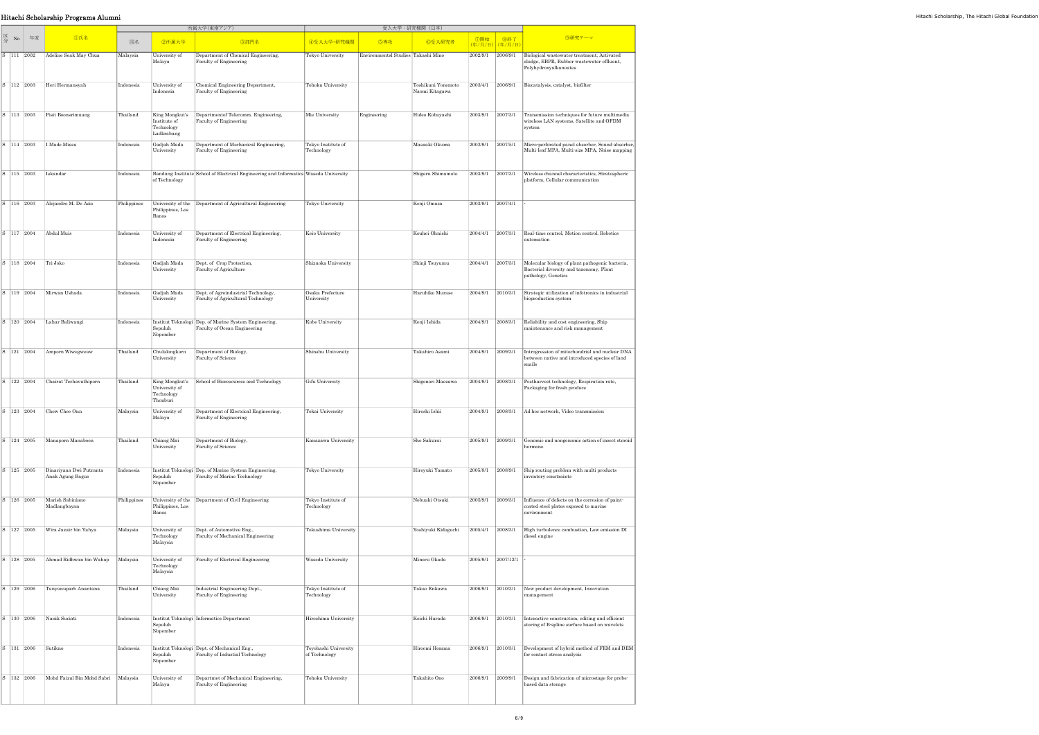|                                      | Hitachi Scholarship Programs Alumni                      |             |                                          |                                                                                       |                                       |                                    |                                      |                          |                                 |                                                                                                                   | Hitachi Scholarship, The Hitachi Global Foundatior |
|--------------------------------------|----------------------------------------------------------|-------------|------------------------------------------|---------------------------------------------------------------------------------------|---------------------------------------|------------------------------------|--------------------------------------|--------------------------|---------------------------------|-------------------------------------------------------------------------------------------------------------------|----------------------------------------------------|
|                                      |                                                          |             |                                          | 所属大学(東南アジア)                                                                           |                                       |                                    | 受入大学·研究機関 (日本)                       |                          |                                 |                                                                                                                   |                                                    |
| $\mathbb{Z}_{\leftrightarrow}$ No 年度 | <b></b> ①氏名                                              | 国名          | 2所属大学                                    | 3部門名                                                                                  | 4受入大学·研究機関                            | 5専攻                                | 6受入研究者                               |                          | │ ⑦開始 │ ⑧終了<br>│(年/月/日) (年/月/日) | 9研究テーマ                                                                                                            |                                                    |
|                                      | S   111   2002   Adeline Seak May Chua                   | Malaysia    | University of<br>Malaya                  | Department of Chenical Engineering,<br>Faculty of Engineering                         | Tokyo University                      | Environmentsl Studies Takashi Mino |                                      | 2002/9/1 2006/9/1        |                                 | Biological wastewater treatment, Activated<br>sludge, EBPR, Rubber wastewater effluent,<br>Polyhydroxyalkanoates  |                                                    |
|                                      | 112 2003 Heri Hermansyah                                 | Indonesia   | University of<br>Indonesia               | Chemical Engineering Department,<br>Faculty of Engineering                            | Tohoku University                     |                                    | Toshikuni Yonemoto<br>Naomi Kitagawa | 2003/4/1 2006/9/1        |                                 | Biocatalysis, catalyst, biofilter                                                                                 |                                                    |
|                                      | 113 2003 Pisit Boonsrimuang                              | Thailand    | Institute of<br>Technology<br>Ladkrabang | King Mongkut's Department of Telecomm. Engineering,<br>Faculty of Engineering         | Mie University                        | Engineering                        | Hideo Kobayashi                      | $2003/9/1$ $2007/3/1$    |                                 | Transmission techniques for future multimedia<br>wireless LAN systems, Satellite and OFDM<br>system               |                                                    |
|                                      | S   114   2003   I Made Miasa                            | Indonesia   | Gadjah Mada<br>University                | Department of Mechanical Engineering,<br>Faculty of Engineering                       | Tokyo Institute of<br>Technology      |                                    | Masaaki Okuma                        | $2003/9/1$ $2007/5/1$    |                                 | Micro-perforated panel absorber, Sound absorber,<br>Multi-leaf MPA, Multi-size MPA, Noise mapping                 |                                                    |
|                                      | 3   115   2003   Iskandar                                | Indonesia   | of Technology                            | Bandung Institute School of Electrical Engineering and Informatics Waseda University  |                                       |                                    | Shigeru Shimamoto                    | $2003/9/1$ $2007/3/1$    |                                 | Wireless channel characteristics, Stratospheric<br>platform, Cellular communication                               |                                                    |
|                                      | 116 2003 Alejandro M. De Asis                            | Philippines | Philippines, Los<br>Banos                | University of the Department of Agricultural Engineering                              | Tokyo University                      |                                    | Kenji Omasa                          | $2003/9/1$ $2007/4/1$    |                                 |                                                                                                                   |                                                    |
|                                      | 3   117   2004   Abdul Muis                              | Indonesia   | University of<br>Indonesia               | Department of Electrical Engineering,<br>Faculty of Engineering                       | Keio University                       |                                    | Kouhei Ohnishi                       | 2004/4/1                 | 2007/3/1                        | Real-time control, Motion control, Robotics<br>automation                                                         |                                                    |
|                                      | $3   118   2004  $ Tri Joko                              | Indonesia   | Gadjah Mada<br>University                | Dept. of Crop Protection,<br>Faculty of Agriculture                                   | Shizuoka University                   |                                    | Shinji Tsuyumu                       | $ 2004/4/1 $ $ 2007/3/1$ |                                 | Molecular biology of plant pathogenic bacteria,<br>Bacterial diversity and taxonomy, Plant<br>pathology, Genetics |                                                    |
|                                      | 119   2004   Mirwan Ushada                               | Indonesia   | Gadjah Mada<br>University                | Dept. of Agroindustrial Technology,<br>Faculty of Agricultural Technology             | Osaka Prefecture<br>University        |                                    | Haruhiko Murase                      | $2004/9/1$ $2010/3/1$    |                                 | Strategic utilization of infotronics in industrial<br>bioproduction system                                        |                                                    |
| 120 2004                             | Lahar Baliwangi                                          | Indonesia   | Sepuluh<br>Nopember                      | Institut Teknologi Dep. of Marine System Engineering,<br>Faculty of Ocean Engineering | Kobe University                       |                                    | Kenji Ishida                         |                          | 2004/9/1 2008/3/1               | Reliability and cost engineering, Ship<br>maintenance and risk management                                         |                                                    |
|                                      | 121 2004 Amporn Wiwegweaw                                | Thailand    | Chulalongkorn<br>University              | Department of Biology,<br>Faculty of Science                                          | Shinshu University                    |                                    | Takahiro Asami                       | $ 2004/9/1 $ $ 2009/3/1$ |                                 | Introgression of mitochondrial and nuclear DNA<br>between native and introduced species of land<br>snails         |                                                    |
| 122 2004                             | Chairat Techavuthiporn                                   | Thailand    | University of<br>Technology<br>Thonburi  | King Mongkut's School of Bioresources and Technology                                  | Gifu University                       |                                    | Shigenori Maezawa                    | 2004/9/1 2008/3/1        |                                 | Postharvest technology, Respiration rate,<br>Packaging for fresh produce                                          |                                                    |
| 123 2004                             | Chow Chee Onn                                            | Malaysia    | University of<br>Malaya                  | Department of Electcical Engineering,<br>Faculty of Engineering                       | Tokai University                      |                                    | Hiroshi Ishii                        |                          | 2004/9/1 2008/3/1               | Ad hoc network, Video transmission                                                                                |                                                    |
|                                      | $3   124   2005  $ Manaporn Manaboon                     | Thailand    | Chiang Mai<br>University                 | Department of Biology,<br>Faculty of Science                                          | Kanazawa University                   |                                    | Sho Sakurai                          |                          | 2005/9/1 2009/3/1               | Genomic and nongenomic action of insect steroid<br>hormone                                                        |                                                    |
|                                      | 125   2005   Dinariyana Dwi Putranta<br>Anak Agung Bagus | Indonesia   | Sepuluh<br>Nopember                      | Institut Teknologi Dep. of Marine System Engineering,<br>Faculty of Marine Technology | Tokyo University                      |                                    | Hiroyuki Yamato                      |                          | $2005/8/1$ $2008/9/1$           | Ship routing problem with multi products<br>inventory constraints                                                 |                                                    |
| 126 2005                             | Marish Sabiniano<br>Madlangbayan                         | Philippines | Philippines, Los<br>Banos                | University of the Department of Civil Engineering                                     | Tokyo Institute of<br>Technology      |                                    | Nobuaki Otsuki                       | 2005/9/1                 | 2009/3/1                        | Influence of defects on the corrosion of paint-<br>coated steel plates exposed to marine<br>environment           |                                                    |
|                                      | 3   127   2005   Wira Jazair bin Yahya                   | Malaysia    | University of<br>Technology<br>Malaysia  | Dept. of Automotive Eng.,<br>Faculty of Mechanical Engineering                        | Tokushima University                  |                                    | Yoshiyuki Kidoguchi                  | 2005/4/1 2008/3/1        |                                 | High turbulence combustion, Low emission DI<br>diesel engine                                                      |                                                    |
|                                      | 128 2005 Ahmad Ridhwan bin Wahap Malaysia                |             | University of<br>Technology<br>Malaysia  | Faculty of Electrical Engineering                                                     | Waseda University                     |                                    | Minoru Okada                         |                          | 2005/9/1 2007/12/1              |                                                                                                                   |                                                    |
|                                      | 129 2006 Tanyanuparb Anantana                            | Thailand    | Chiang Mai<br>University                 | Industrial Engineering Dept.,<br>Faculty of Engineering                               | Tokyo Institute of<br>Technology      |                                    | Takao Enkawa                         |                          | $2006/9/1$ $2010/3/1$           | New product development, Innovation<br>management                                                                 |                                                    |
|                                      | 130 2006 Nanik Suciati                                   | Indonesia   | Sepuluh<br>Nopember                      | Institut Teknologi Informatics Department                                             | Hiroshima University                  |                                    | Koichi Harada                        | 2006/9/1                 | 2010/3/1                        | Interactive construction, editing and efficient<br>storing of B-spline surface based on wavelets                  |                                                    |
| S   131   2006   Sutikno             |                                                          | Indonesia   | Sepuluh<br>Nopember                      | Institut Teknologi Dept. of Mechanical Eng.,<br>Faculty of Industial Technology       | Toyohashi University<br>of Technology |                                    | Hiroomi Homma                        |                          | 2006/9/1 2010/3/1               | Development of hybrid method of FEM and DEM<br>for contact stress analysis                                        |                                                    |
| 132 2006                             | Mohd Faizul Bin Mohd Sabri                               | Malaysia    | University of<br>Malaya                  | Departmet of Mechanical Engineering,<br>Faculty of Engineering                        | Tohoku University                     |                                    | Takahito Ono                         |                          | 2006/9/1 2009/9/1               | Design and fabrication of microstage for probe-<br>based data storage                                             |                                                    |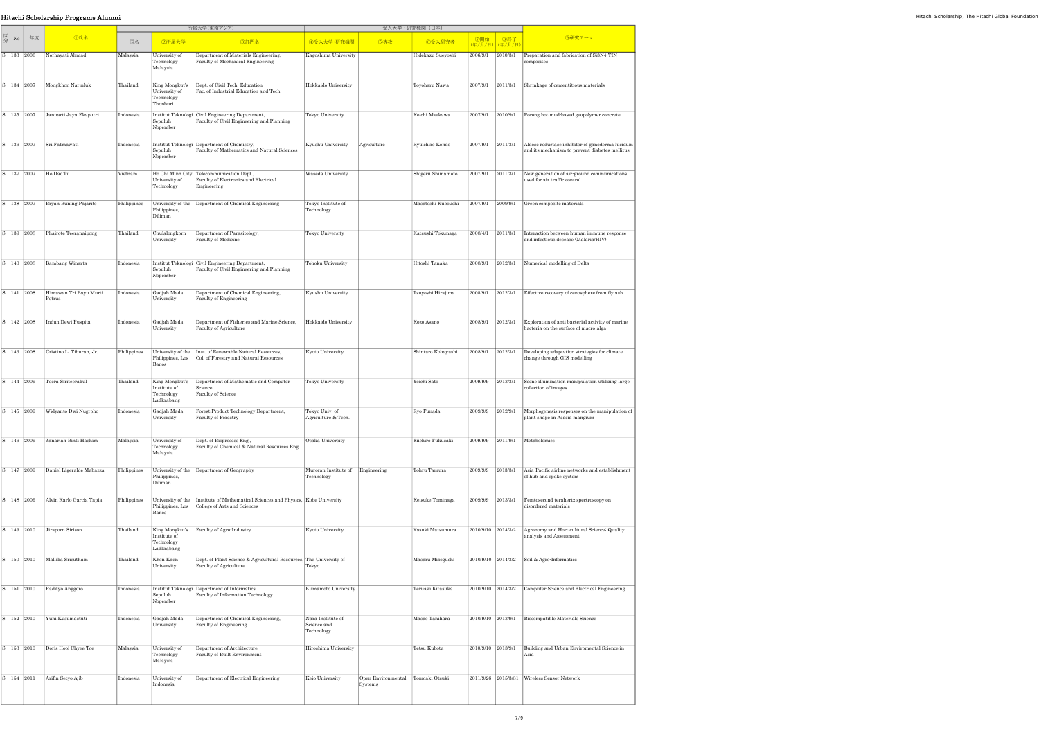## Hitachi Scholarship Programs Alumni Hitachi Scholarship, The Hitachi Global Foundation

|    |                |            |                                  |             |                                                            | 所属大学(東南アジア)                                                                                       |                                                |                               | 受入大学・研究機関(日本)      |                        |          |                                                                                                   |
|----|----------------|------------|----------------------------------|-------------|------------------------------------------------------------|---------------------------------------------------------------------------------------------------|------------------------------------------------|-------------------------------|--------------------|------------------------|----------|---------------------------------------------------------------------------------------------------|
| 区分 | No             | 年度         | <b></b> ①氏名                      | 国名          | 2所属大学                                                      | 3部門名                                                                                              | 4受入大学·研究機関                                     | 5専攻                           | 6受入研究者             | ⑦開始<br>(年/月/日) (年/月/日) | 8終了      | 9研究テーマ                                                                                            |
|    | S 133 2006     |            | Norhayati Ahmad                  | Malaysia    | University of<br>Technology<br>Malaysia                    | Department of Materials Engineering,<br>Faculty of Mechanical Engineering                         | Kagoshima University                           |                               | Hidekazu Sueyoshi  | 2006/9/1               | 2010/3/1 | Preparation and fabrication of Si3N4-TIN<br>composites                                            |
|    | S 134 2007     |            | Mongkhon Narmluk                 | Thailand    | King Mongkut's<br>University of<br>Technology<br>Thonburi  | Dept. of Civil Tech. Education<br>Fac. of Industrial Education and Tech.                          | Hokkaido University                            |                               | Toyoharu Nawa      | 2007/9/1               | 2011/3/1 | Shrinkage of cementitious materials                                                               |
|    | S   135   2007 |            | Januarti Jaya Ekaputri           | Indonesia   | Sepuluh<br>Nopember                                        | Institut Teknologi Civil Engineering Department,<br>Faculty of Civil Engineering and Planning     | Tokyo University                               |                               | Koichi Maekawa     | 2007/9/1               | 2010/9/1 | Porong hot mud-based geopolymer concrete                                                          |
|    | S 136 2007     |            | Sri Fatmawati                    | Indonesia   | Sepuluh<br>Nopember                                        | Institut Teknologi Department of Chemistry,<br>Faculty of Mathematics and Natural Sciences        | Kyushu University                              | Agriculture                   | Ryuichiro Kondo    | 2007/9/1               | 2011/3/1 | Aldose reductase inhibitor of ganoderma lucidum<br>and its mechanism to prevent diabetes mellitus |
|    | S 137 2007     |            | Ho Dac Tu                        | Vietnam     | University of<br>Technology                                | Ho Chi Minh City Telecommunication Dept.,<br>Faculty of Electronics and Electrical<br>Engineering | Waseda University                              |                               | Shigeru Shimamoto  | 2007/9/1               | 2011/3/1 | New generation of air-ground communications<br>used for air traffic control                       |
|    | S   138   2007 |            | Bryan Buning Pajarito            | Philippines | University of the<br>Philippines,<br>Diliman               | Department of Chemical Engineering                                                                | Tokyo Institute of<br>Technology               |                               | Masatoshi Kubouchi | 2007/9/1               | 2009/9/1 | Green composite materials                                                                         |
|    | S 139 2008     |            | Phairote Teeranaipong            | Thailand    | Chulalongkorn<br>University                                | Department of Parasitology,<br>Faculty of Medicine                                                | Tokyo University                               |                               | Katsushi Tokunaga  | 2008/4/1               | 2011/3/1 | Interaction between human immune response<br>and infectious desease (Malaria/HIV)                 |
|    | S 140 2008     |            | <b>Bambang Winarta</b>           | Indonesia   | Sepuluh<br>Nopember                                        | Institut Teknologi Civil Engineering Department,<br>Faculty of Civil Engineering and Planning     | Tohoku University                              |                               | Hitoshi Tanaka     | 2008/9/1               | 2012/3/1 | Numerical modelling of Delta                                                                      |
|    | S 141 2008     |            | Himawan Tri Bayu Murti<br>Petrus | Indonesia   | Gadjah Mada<br>University                                  | Department of Chemical Engineering,<br>Faculty of Engineering                                     | Kyushu University                              |                               | Tsuyoshi Hirajima  | 2008/9/1               | 2012/3/1 | Effective recovery of cenosphere from fly ash                                                     |
|    | S 142 2008     |            | Indun Dewi Puspita               | Indonesia   | Gadjah Mada<br>University                                  | Department of Fisheries and Marine Science,<br>Faculty of Agriculture                             | Hokkaido University                            |                               | Kozo Asano         | 2008/9/1               | 2012/3/1 | Exploration of anti bacterial activity of marine<br>bacteria on the surface of macro-alga         |
|    | S 143 2008     |            | Cristino L. Tiburan, Jr.         | Philippines | University of the<br>Philippines, Los<br>Banos             | Inst. of Renewable Natural Resources,<br>Col. of Forestry and Natural Resources                   | Kyoto University                               |                               | Shintaro Kobayashi | 2008/9/1               | 2012/3/1 | Developing adaptation strategies for climate<br>change through GIS modelling                      |
|    | S 144 2009     |            | Teera Siriteerakul               | Thailand    | King Mongkut's<br>Institute of<br>Technology<br>Ladkrabang | Department of Mathematic and Computer<br>Science,<br>Faculty of Science                           | Tokyo University                               |                               | Yoichi Sato        | 2009/9/9               | 2013/3/1 | Scene illumination manipulation utilizing large<br>collection of images                           |
|    |                | S 145 2009 | Widyanto Dwi Nugroho             | Indonesia   | Gadjah Mada<br>University                                  | Forest Product Technology Department,<br>Faculty of Forestry                                      | Tokyo Univ. of<br>Agriculture & Tech.          |                               | Ryo Funada         | 2009/9/9               | 2012/9/1 | Morphogenesis responses on the manipulation of<br>plant shape in Acacia mangium                   |
|    | S 146 2009     |            | Zanariah Binti Hashim            | Malaysia    | University of<br>Technology<br>Malaysia                    | Dept. of Bioprocess Eng.,<br>Faculty of Chemical & Natural Resources Eng.                         | Osaka University                               |                               | Eiichiro Fukusaki  | 2009/9/9               | 2011/9/1 | Metabolomics                                                                                      |
|    | S 147 2009     |            | Daniel Ligeralde Mabazza         | Philippines | University of the<br>Philippines,<br>Diliman               | Department of Geography                                                                           | Muroran Institute of<br>Technology             | Engineering                   | Tohru Tamura       | 2009/9/9               | 2013/3/1 | Asia-Pacific airline networks and establishment<br>of hub and spoke system                        |
|    | S 148 2009     |            | Alvin Karlo Garcia Tapia         | Philippines | University of the<br>Philippines, Los<br>Banos             | Institute of Mathematical Sciences and Physics, Kobe University<br>College of Arts and Sciences   |                                                |                               | Keisuke Tominaga   | 2009/9/9               | 2013/3/1 | Femtosecond terahertz spectroscopy on<br>disordered materials                                     |
|    | S 149 2010     |            | Jiraporn Sirison                 | Thailand    | King Mongkut's<br>Institute of<br>Technology<br>Ladkrabang | Faculty of Agro-Industry                                                                          | Kyoto University                               |                               | Yasuki Matsumura   | 2010/9/10 2014/3/2     |          | Agronomy and Horticultural Science; Quality<br>analysis and Assessment                            |
|    | S 150 2010     |            | Mallika Srisutham                | Thailand    | Khon Kaen<br>University                                    | Dept. of Plant Science & Agricultural Resources, The University of<br>Faculty of Agriculture      | Tokyo                                          |                               | Masaru Mizoguchi   | 2010/9/10 2014/3/2     |          | Soil & Agro-Informatics                                                                           |
|    | S 151 2010     |            | Radityo Anggoro                  | Indonesia   | Sepuluh<br>Nopember                                        | Institut Teknologi Department of Informatics<br>Faculty of Information Technology                 | Kumamoto University                            |                               | Teruaki Kitasuka   | 2010/9/10 2014/3/2     |          | Computer Science and Electrical Engineering                                                       |
|    | S 152 2010     |            | Yuni Kusumastuti                 | Indonesia   | Gadjah Mada<br>University                                  | Department of Chemical Engineering,<br>Faculty of Engineering                                     | Nara Institute of<br>Science and<br>Technology |                               | Masao Tanihara     | 2010/9/10 2013/9/1     |          | <b>Biocompatible Materials Science</b>                                                            |
|    | S 153 2010     |            | Doris Hooi Chyee Toe             | Malaysia    | University of<br>Technology<br>Malaysia                    | Department of Architecture<br>Faculty of Built Environment                                        | Hiroshima University                           |                               | Tetsu Kubota       | 2010/9/10              | 2013/9/1 | Building and Urban Enviromental Science in<br>Asia                                                |
|    | S 154 2011     |            | Arifin Setyo Ajib                | Indonesia   | University of<br>Indonesia                                 | Department of Electrical Engineering                                                              | Keio University                                | Open Environmental<br>Systems | Tomoaki Otsuki     | 2011/9/26 2015/3/31    |          | Wireless Sensor Network                                                                           |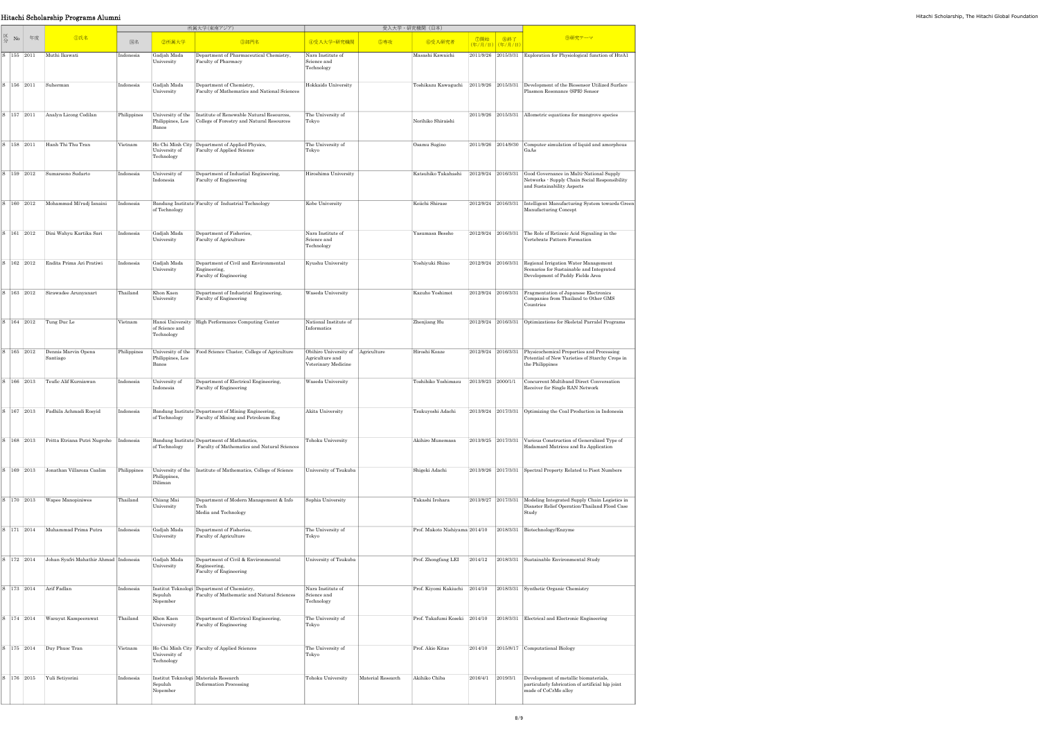## **Hitachi Scholarship Programs Alumni** Hitachi Scholarship, The Hitachi Global Foundation

|     |            |    |                                       |             |                                                              | 所属大学(東南アジア)                                                                                              |                                                                             |                   | 受入大学·研究機関 (日本)                  |                           |                        |                                                                                                                         |
|-----|------------|----|---------------------------------------|-------------|--------------------------------------------------------------|----------------------------------------------------------------------------------------------------------|-----------------------------------------------------------------------------|-------------------|---------------------------------|---------------------------|------------------------|-------------------------------------------------------------------------------------------------------------------------|
| 区分  | No         | 年度 | <b></b> ①氏名                           | 国名          | 2所属大学                                                        | 3部門名                                                                                                     | 4受入大学·研究機関                                                                  | 6専攻               | 6受入研究者                          | ⑦開始                       | 8終了<br>(年/月/日) (年/月/日) | 9研究テーマ                                                                                                                  |
|     | 155 2011   |    | Muthi Ikawati                         | Indonesia   | Gadjah Mada<br>University                                    | Department of Pharmaceutical Chemistry,<br>Faculty of Pharmacy                                           | Nara Institute of<br>Science and<br>Technology                              |                   | Masashi Kawaichi                | 2011/9/26 2015/3/31       |                        | Exploration for Physiological function of HtrA1                                                                         |
| l S | 156 2011   |    | Suherman                              | Indonesia   | Gadjah Mada<br>University                                    | Department of Chemistry,<br>Faculty of Mathematics and National Sciences                                 | Hokkaido University                                                         |                   | Toshikazu Kawaguchi             | 2011/9/26 2015/3/31       |                        | Development of the Biosensor Utilized Surface<br>Plasmon Resonance (SPR) Sensor                                         |
|     | S 157 2011 |    | Analyn Licong Codilan                 | Philippines | Philippines, Los<br>Banos                                    | University of the Institute of Renewable Natural Resources,<br>College of Forestry and Natural Resources | The University of<br>Tokyo                                                  |                   | Norihiko Shiraishi              |                           | 2011/9/26 2015/3/31    | Allometric equations for mangrove species                                                                               |
|     | S 158 2011 |    | Hanh Thi Thu Tran                     | Vietnam     | University of<br>Technology                                  | Ho Chi Minh City Department of Applied Physics,<br>Faculty of Applied Science                            | The University of<br>Tokyo                                                  |                   | Osamu Sugino                    |                           | 2011/9/26 2014/9/30    | Computer simulation of liquid and amorphous<br>GaAs                                                                     |
|     | S 159 2012 |    | Sumarsono Sudarto                     | Indonesia   | University of<br>Indonesia                                   | Department of Industial Engineering,<br>Faculty of Engineering                                           | Hiroshima University                                                        |                   | Katsuhiko Takahashi             | 2012/9/24 2016/3/31       |                        | Good Governance in Multi-National Supply<br>Networks - Supply Chain Social Responsibility<br>and Sustainability Aspects |
|     | S 160 2012 |    | Mohammad Mi'radj Isnaini              | Indonesia   | of Technology                                                | Bandung Institute Faculty of Industrial Technology                                                       | Kobe University                                                             |                   | Keiichi Shirase                 | 2012/9/24 2016/3/31       |                        | Intelligent Manufacturing System towards Green<br>Manufacturing Concept                                                 |
|     | S 161 2012 |    | Dini Wahyu Kartika Sari               | Indonesia   | Gadjah Mada<br>University                                    | Department of Fisheries,<br>Faculty of Agriculture                                                       | Nara Institute of<br>Science and<br>Technology                              |                   | Yasumasa Bessho                 | 2012/9/24 2016/3/31       |                        | The Role of Retinoic Acid Signaling in the<br>Vertebrate Pattern Formation                                              |
|     | S 162 2012 |    | Endita Prima Ari Pratiwi              | Indonesia   | Gadjah Mada<br>University                                    | Department of Civil and Environmental<br>Engineering,<br>Faculty of Engineering                          | Kyushu University                                                           |                   | Yoshiyuki Shino                 | 2012/9/24 2016/3/31       |                        | Regional Irrigation Water Management<br>Scenarios for Sustainable and Integrated<br>Development of Paddy Fields Area    |
|     | S 163 2012 |    | Sirawadee Arunyanart                  | Thailand    | Khon Kaen<br>University                                      | Department of Industrial Engineering,<br>Faculty of Engineering                                          | Waseda University                                                           |                   | Kazuho Yoshimot                 | 2012/9/24 2016/3/31       |                        | Fragmentation of Japanese Electronics<br>Companies from Thailand to Other GMS<br>Countries                              |
|     | S 164 2012 |    | Tung Duc Le                           | Vietnam     | of Science and<br>Technology                                 | Hanoi University High Performance Computing Center                                                       | National Institute of<br>Informatics                                        |                   | Zhenjiang Hu                    | 2012/9/24 2016/3/31       |                        | Optimizations for Skeletal Parralel Programs                                                                            |
|     | S 165 2012 |    | Dennis Marvin Opena<br>Santiago       | Philippines | University of the<br>Philippines, Los<br>Banos               | Food Science Cluster, College of Agriculture                                                             | Obihiro University of Agriculture<br>Agriculture and<br>Veterinary Medicine |                   | Hiroshi Koaze                   | 2012/9/24 2016/3/31       |                        | Physicochemical Properties and Processing<br>Potential of New Varieties of Starchy Crops in<br>the Philippines          |
|     | S 166 2013 |    | Teufic Alif Kurniawan                 | Indonesia   | University of<br>Indonesia                                   | Department of Electrical Engineering,<br>Faculty of Engineering                                          | Waseda University                                                           |                   | Toshihiko Yoshimasu             | $ 2013/9/23 $ $ 2000/1/1$ |                        | Concurrent Multiband Direct Conversation<br>Receiver for Single RAN Network                                             |
|     |            |    | S 167 2013 Fadhila Achmadi Rosvid     | Indonesia   | of Technology                                                | Bandung Institute Department of Mining Engineering.<br>Faculty of Mining and Petroleum Eng               | Akita University                                                            |                   | Tsukuvoshi Adachi               |                           |                        | $\vert$ 2013/9/24 $\vert$ 2017/3/31 $\vert$ Optimizing the Coal Production in Indonesia                                 |
|     | S 168 2013 |    | Pritta Etriana Putri Nugroho          | Indonesia   | of Technology                                                | Bandung Institute Department of Mathmatics,<br>Faculty of Mathematics and Natural Sciences               | Tohoku University                                                           |                   | Akihiro Munemasa                | 2013/9/25 2017/3/31       |                        | Various Construction of Generalized Type of<br>Hadamard Matrices and Its Application                                    |
| S   | 169 2013   |    | Jonathan Villaroza Caalim             | Philippines | Philippines,<br>Diliman                                      | University of the Institute of Mathematics, College of Science                                           | University of Tsukuba                                                       |                   | Shigeki Adachi                  |                           | 2013/9/26 2017/3/31    | Spectral Property Related to Pisot Numbers                                                                              |
|     | S 170 2013 |    | Wapee Manopiniwes                     | Thailand    | Chiang Mai<br>University                                     | Department of Modern Management & Info<br>Tech<br>Media and Technology                                   | Sophia University                                                           |                   | Takashi Irohara                 | 2013/9/27 2017/3/31       |                        | Modeling Integrated Supply Chain Logistics in<br>Disaster Relief Operation: Thailand Flood Case<br>Study                |
|     | S 171 2014 |    | Muhammad Prima Putra                  | Indonesia   | Gadjah Mada<br>University                                    | Department of Fisheries,<br>Faculty of Agriculture                                                       | The University of<br>Tokyo                                                  |                   | Prof. Makoto Nishiyama 2014/10  |                           | 2018/3/31              | Biotechnology/Enzyme                                                                                                    |
|     | S 172 2014 |    | Johan Syafri Mahathir Ahmad Indonesia |             | Gadjah Mada<br>University                                    | Department of Civil & Environmental<br>Engineering,<br>Faculty of Engineering                            | University of Tsukuba                                                       |                   | Prof. Zhongfang LEI             | 2014/12                   | 2018/3/31              | Sustainable Environmental Study                                                                                         |
|     | S 173 2014 |    | Arif Fadlan                           | Indonesia   | Sepuluh<br>Nopember                                          | Institut Teknologi Department of Chemistry,<br>Faculty of Mathematic and Natural Sciences                | Nara Institute of<br>Science and<br>Technology                              |                   | Prof. Kiyomi Kakiuchi   2014/10 |                           | 2018/3/31              | Synthetic Organic Chemistry                                                                                             |
|     | S 174 2014 |    | Warayut Kampeerawat                   | Thailand    | Khon Kaen<br>University                                      | Department of Electrical Engineering,<br>Faculty of Engineering                                          | The University of<br>Tokyo                                                  |                   | Prof. Takafumi Koseki 2014/10   |                           | 2018/3/31              | Electrical and Electronic Engineering                                                                                   |
|     | S 175 2014 |    | Duy Phuoc Tran                        | Vietnam     | University of<br>Technology                                  | Ho Chi Minh City   Faculty of Applied Sciences                                                           | The University of<br>Tokyo                                                  |                   | Prof. Akio Kitao                | 2014/10                   |                        | 2015/8/17 Computational Biology                                                                                         |
|     | S 176 2015 |    | Yuli Setiyorini                       | Indonesia   | Institut Teknologi Materials Research<br>Sepuluh<br>Nopember | Deformation Processing                                                                                   | Tohoku University                                                           | Material Research | Akihiko Chiba                   | 2016/4/1                  | 2019/3/1               | Development of metallic biomaterials,<br>particularly fabrication of artificial hip joint<br>made of CoCrMo alloy       |